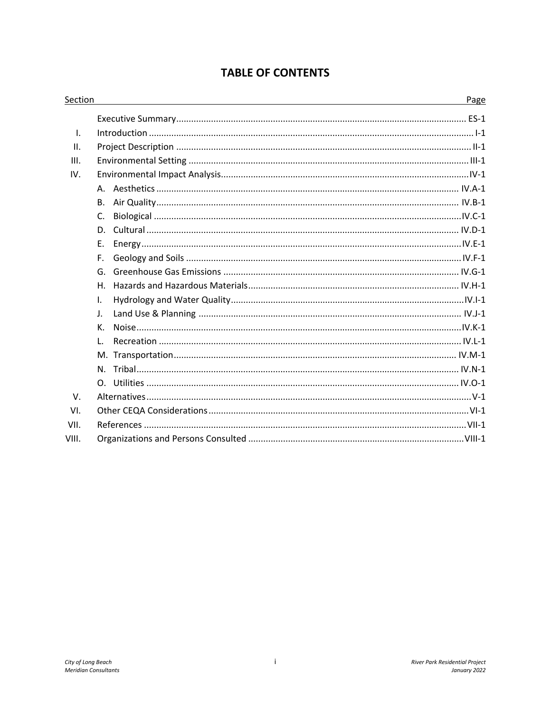### **TABLE OF CONTENTS**

| Section      |                | Page |
|--------------|----------------|------|
|              |                |      |
| $\mathsf{L}$ |                |      |
| ΙΙ.          |                |      |
| III.         |                |      |
| IV.          |                |      |
|              |                |      |
|              | В.             |      |
|              | C.             |      |
|              | D.             |      |
|              | Ε.             |      |
|              | F.             |      |
|              | G.             |      |
|              | Η.             |      |
|              | $\mathbf{I}$ . |      |
|              | $\mathsf{J}$ . |      |
|              | К.             |      |
|              | L.             |      |
|              |                |      |
|              |                |      |
|              |                |      |
| V.           |                |      |
| VI.          |                |      |
| VII.         |                |      |
| VIII.        |                |      |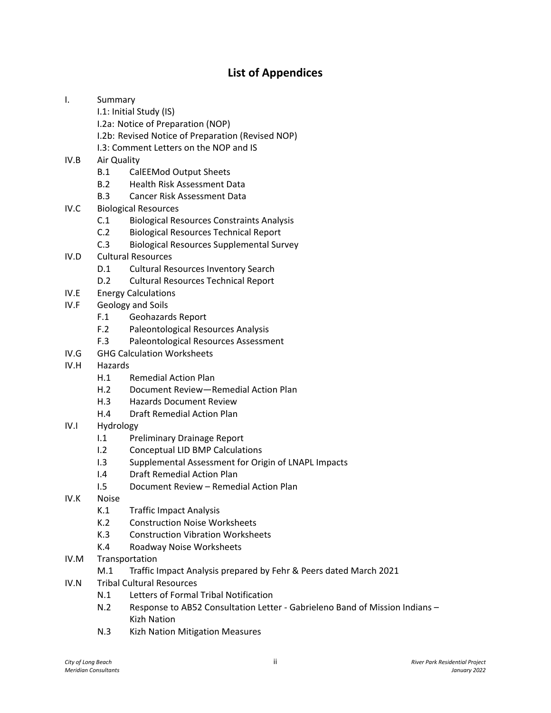### **List of Appendices**

- I. Summary
	- I.1: Initial Study (IS)
	- I.2a: Notice of Preparation (NOP)
	- I.2b: Revised Notice of Preparation (Revised NOP)
	- I.3: Comment Letters on the NOP and IS
- IV.B Air Quality
	- B.1 CalEEMod Output Sheets
	- B.2 Health Risk Assessment Data
	- B.3 Cancer Risk Assessment Data
- IV.C Biological Resources
	- C.1 Biological Resources Constraints Analysis
	- C.2 Biological Resources Technical Report
	- C.3 Biological Resources Supplemental Survey
- IV.D Cultural Resources
	- D.1 Cultural Resources Inventory Search
	- D.2 Cultural Resources Technical Report
- IV.E Energy Calculations
- IV.F Geology and Soils
	- F.1 Geohazards Report
	- F.2 Paleontological Resources Analysis
	- F.3 Paleontological Resources Assessment
- IV.G GHG Calculation Worksheets
- IV.H Hazards
	- H.1 Remedial Action Plan
	- H.2 Document Review—Remedial Action Plan
	- H.3 Hazards Document Review
	- H.4 Draft Remedial Action Plan
- IV.I Hydrology
	- I.1 Preliminary Drainage Report
	- I.2 Conceptual LID BMP Calculations
	- I.3 Supplemental Assessment for Origin of LNAPL Impacts
	- I.4 Draft Remedial Action Plan
	- I.5 Document Review Remedial Action Plan
- IV.K Noise
	- K.1 Traffic Impact Analysis
	- K.2 Construction Noise Worksheets
	- K.3 Construction Vibration Worksheets
	- K.4 Roadway Noise Worksheets
- IV.M Transportation
	- M.1 Traffic Impact Analysis prepared by Fehr & Peers dated March 2021
- IV.N Tribal Cultural Resources
	- N.1 Letters of Formal Tribal Notification
	- N.2 Response to AB52 Consultation Letter Gabrieleno Band of Mission Indians Kizh Nation
	- N.3 Kizh Nation Mitigation Measures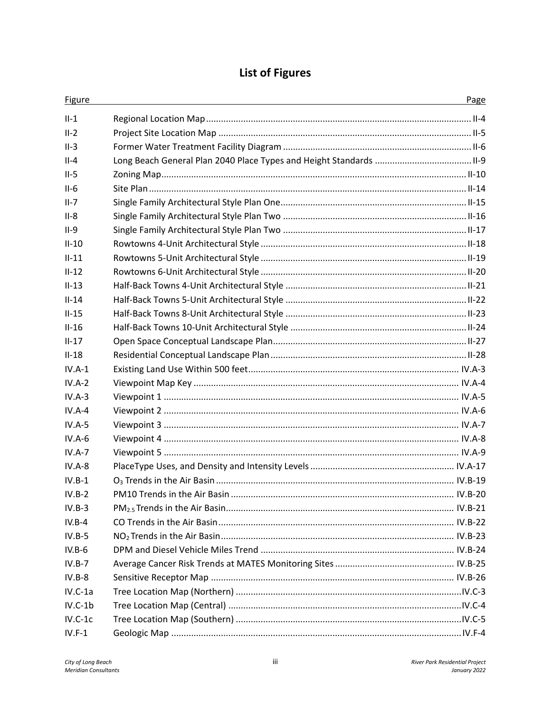# **List of Figures**

| Figure    | Page |
|-----------|------|
| $II-1$    |      |
| $II-2$    |      |
| $II-3$    |      |
| $II - 4$  |      |
| $II-5$    |      |
| $II-6$    |      |
| $II-7$    |      |
| $II-8$    |      |
| $II-9$    |      |
| $II-10$   |      |
| $II-11$   |      |
| $II-12$   |      |
| $II-13$   |      |
| $II-14$   |      |
| $II-15$   |      |
| $II-16$   |      |
| $II-17$   |      |
| $II-18$   |      |
| $IV.A-1$  |      |
| $IV.A-2$  |      |
| $IV.A-3$  |      |
| $IV.A-4$  |      |
| $IV.A-5$  |      |
| $IV.A-6$  |      |
| $IV.A-7$  |      |
| $IV.A-8$  |      |
| $IV.B-1$  |      |
| $IV.B-2$  |      |
| $IV.B-3$  |      |
| $IV.B-4$  |      |
| $IV.B-5$  |      |
| $IV.B-6$  |      |
| $IV.B-7$  |      |
| $IV.B-8$  |      |
| $IV.C-1a$ |      |
| $IV.C-1b$ |      |
| $IV.C-1c$ |      |
| $IV.F-1$  |      |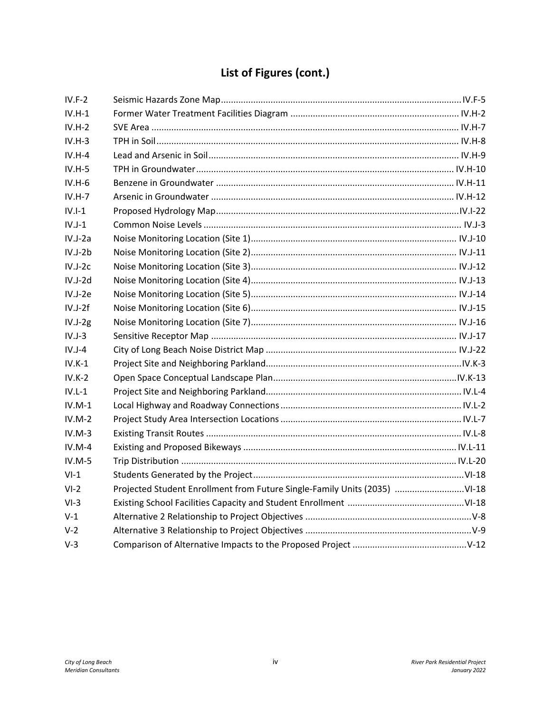# **List of Figures (cont.)**

| $IV.F-2$  |                                                                           |  |
|-----------|---------------------------------------------------------------------------|--|
| $IV.H-1$  |                                                                           |  |
| $IV.H-2$  |                                                                           |  |
| $IV.H-3$  |                                                                           |  |
| $IV.H-4$  |                                                                           |  |
| $IV.H-5$  |                                                                           |  |
| $IV.H-6$  |                                                                           |  |
| $IV.H-7$  |                                                                           |  |
| $IV.I-1$  |                                                                           |  |
| $IV.J-1$  |                                                                           |  |
| $IV.J-2a$ |                                                                           |  |
| $IV.J-2b$ |                                                                           |  |
| $IV.J-2c$ |                                                                           |  |
| $IV.J-2d$ |                                                                           |  |
| $IV.J-2e$ |                                                                           |  |
| $IV.J-2f$ |                                                                           |  |
| $IV.J-2g$ |                                                                           |  |
| $IV.J-3$  |                                                                           |  |
| $IV.J-4$  |                                                                           |  |
| $IV.K-1$  |                                                                           |  |
| $IV.K-2$  |                                                                           |  |
| $IV.L-1$  |                                                                           |  |
| $IV.M-1$  |                                                                           |  |
| $IV.M-2$  |                                                                           |  |
| $IV.M-3$  |                                                                           |  |
| $IV.M-4$  |                                                                           |  |
| $IV.M-5$  |                                                                           |  |
| $VI-1$    |                                                                           |  |
| $VI-2$    | Projected Student Enrollment from Future Single-Family Units (2035) VI-18 |  |
| $VI-3$    |                                                                           |  |
| $V-1$     |                                                                           |  |
| $V-2$     |                                                                           |  |
| $V-3$     |                                                                           |  |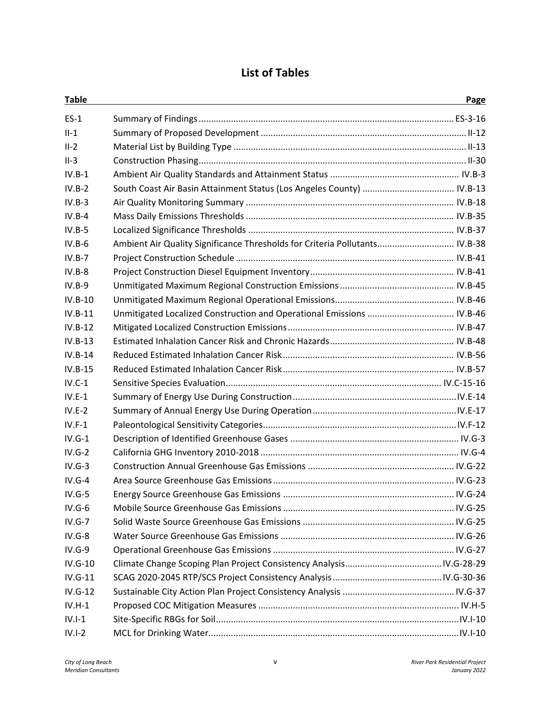### **List of Tables**

| <b>Table</b> |                                                                             | Page |
|--------------|-----------------------------------------------------------------------------|------|
| $ES-1$       |                                                                             |      |
| $II-1$       |                                                                             |      |
| $II-2$       |                                                                             |      |
| $II-3$       |                                                                             |      |
| $IV.B-1$     |                                                                             |      |
| $IV.B-2$     |                                                                             |      |
| $IV.B-3$     |                                                                             |      |
| $IV.B-4$     |                                                                             |      |
| $IV.B-5$     |                                                                             |      |
| $IV.B-6$     | Ambient Air Quality Significance Thresholds for Criteria Pollutants IV.B-38 |      |
| $IV.B-7$     |                                                                             |      |
| $IV.B-8$     |                                                                             |      |
| $IV.B-9$     |                                                                             |      |
| $IV.B-10$    |                                                                             |      |
| $IV.B-11$    |                                                                             |      |
| $IV.B-12$    |                                                                             |      |
| $IV.B-13$    |                                                                             |      |
| $IV.B-14$    |                                                                             |      |
| $IV.B-15$    |                                                                             |      |
| $IV.C-1$     |                                                                             |      |
| $IV.E-1$     |                                                                             |      |
| $IV.E-2$     |                                                                             |      |
| $IV.F-1$     |                                                                             |      |
| $IV.G-1$     |                                                                             |      |
| $IV.G-2$     |                                                                             |      |
| $IV.G-3$     |                                                                             |      |
| $IV.G-4$     |                                                                             |      |
| $IV.G-5$     |                                                                             |      |
| $IV.G-6$     |                                                                             |      |
| $IV.G-7$     |                                                                             |      |
| $IV.G-8$     |                                                                             |      |
| $IV.G-9$     |                                                                             |      |
| $IV.G-10$    |                                                                             |      |
| $IV.G-11$    |                                                                             |      |
| $IV.G-12$    |                                                                             |      |
| $IV.H-1$     |                                                                             |      |
| $IV.I-1$     |                                                                             |      |
| $IV.I-2$     |                                                                             |      |